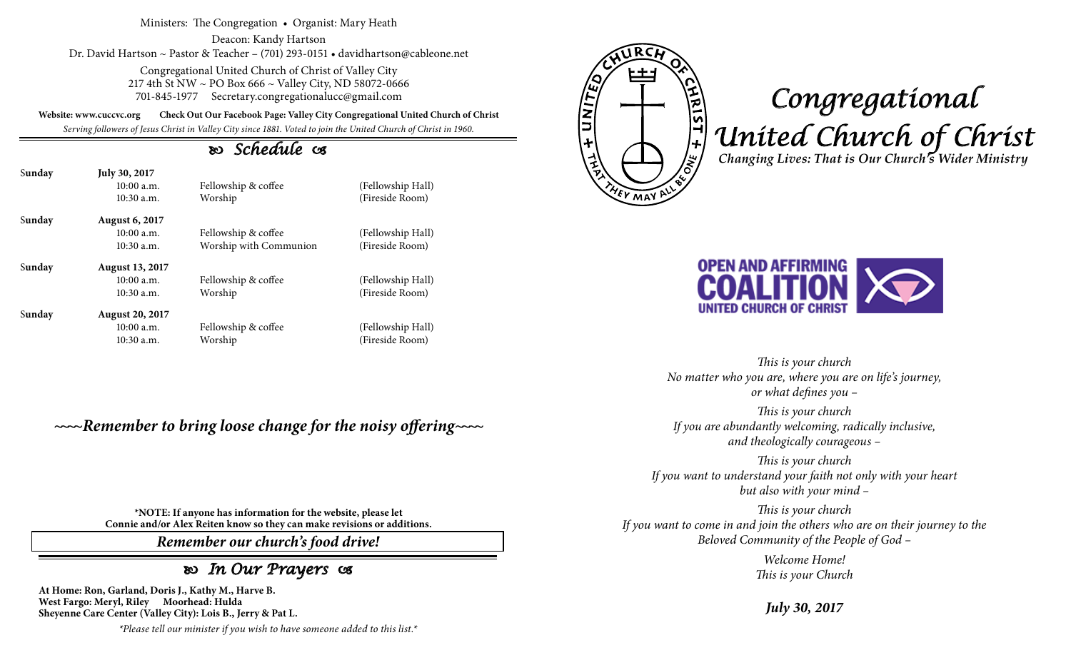Ministers: The Congregation • Organist: Mary Heath

Deacon: Kandy Hartson Dr. David Hartson ~ Pastor & Teacher – (701) 293-0151 • davidhartson@cableone.net

> Congregational United Church of Christ of Valley City 217 4th St NW ~ PO Box 666 ~ Valley City, ND 58072-0666 701-845-1977 Secretary.congregationalucc@gmail.com

**Website: www.cuccvc.org Check Out Our Facebook Page: Valley City Congregational United Church of Christ**

*Serving followers of Jesus Christ in Valley City since 1881. Voted to join the United Church of Christ in 1960.*

## *Schedule*

| Sunday | <b>July 30, 2017</b>   |                        |                   |
|--------|------------------------|------------------------|-------------------|
|        | 10:00a.m.              | Fellowship & coffee    | (Fellowship Hall) |
|        | $10:30$ a.m.           | Worship                | (Fireside Room)   |
| Sunday | <b>August 6, 2017</b>  |                        |                   |
|        | 10:00a.m.              | Fellowship & coffee    | (Fellowship Hall) |
|        | $10:30$ a.m.           | Worship with Communion | (Fireside Room)   |
| Sunday | <b>August 13, 2017</b> |                        |                   |
|        | 10:00a.m.              | Fellowship & coffee    | (Fellowship Hall) |
|        | $10:30$ a.m.           | Worship                | (Fireside Room)   |
| Sunday | <b>August 20, 2017</b> |                        |                   |
|        | 10:00 a.m.             | Fellowship & coffee    | (Fellowship Hall) |
|        | $10:30$ a.m.           | Worship                | (Fireside Room)   |

*~~~~Remember to bring loose change for the noisy offering~~~~*

EUNITED <u>VIRIST + Wo</u> **YEV MAY A** 

## *Congregational United Church of Christ Changing Lives: That is Our Church's Wider Ministry*



*This is your church No matter who you are, where you are on life's journey, or what defines you –*

*This is your church If you are abundantly welcoming, radically inclusive, and theologically courageous –*

*This is your church If you want to understand your faith not only with your heart but also with your mind –*

*This is your church If you want to come in and join the others who are on their journey to the Beloved Community of the People of God –*

> *Welcome Home! This is your Church*

*July 30, 2017*

**\*NOTE: If anyone has information for the website, please let Connie and/or Alex Reiten know so they can make revisions or additions.**

*Remember our church's food drive!*

## *In Our Prayers*

**At Home: Ron, Garland, Doris J., Kathy M., Harve B. West Fargo: Meryl, Riley Moorhead: Hulda Sheyenne Care Center (Valley City): Lois B., Jerry & Pat L.**

*\*Please tell our minister if you wish to have someone added to this list.\**